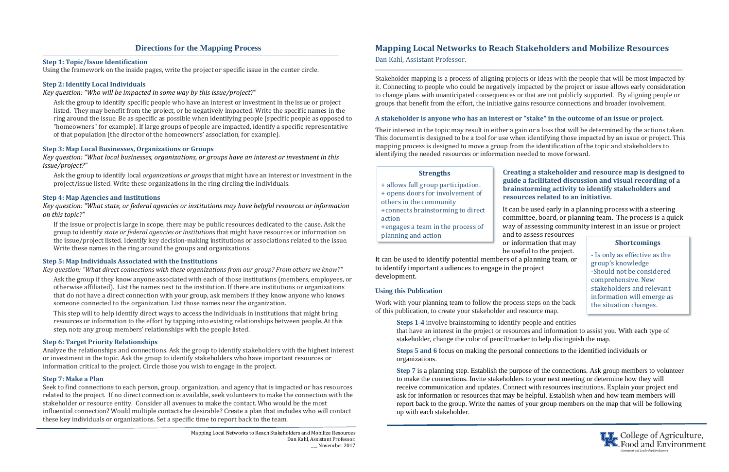### **Directions for the Mapping Process**

### **Step 1: Topic/Issue Identification**

Using the framework on the inside pages, write the project or specific issue in the center circle.

### **Step 2: Identify Local Individuals**

*Key question: "Who will be impacted in some way by this issue/project?"*

Ask the group to identify specific people who have an interest or investment in the issue or project listed. They may benefit from the project, or be negatively impacted. Write the specific names in the ring around the issue. Be as specific as possible when identifying people (specific people as opposed to "homeowners" for example). If large groups of people are impacted, identify a specific representative of that population (the director of the homeowners' association, for example).

### **Step 3: Map Local Businesses, Organizations or Groups**

*Key question: "What local businesses, organizations, or groups have an interest or investment in this issue/project?"*

Ask the group to identify local *organizations or groups* that might have an interest or investment in the project/issue listed. Write these organizations in the ring circling the individuals.

### **Step 4: Map Agencies and Institutions**

*Key question: "What state, or federal agencies or institutions may have helpful resources or information on this topic?"*

If the issue or project is large in scope, there may be public resources dedicated to the cause. Ask the group to identify *state or federal agencies or institutions* that might have resources or information on the issue/project listed. Identify key decision-making institutions or associations related to the issue. Write these names in the ring around the groups and organizations.

### **Step 5: Map Individuals Associated with the Institutions**

*Key question: "What direct connections with these organizations from our group? From others we know?"*

Ask the group if they know anyone associated with each of those institutions (members, employees, or otherwise affiliated). List the names next to the institution. If there are institutions or organizations that do not have a direct connection with your group, ask members if they know anyone who knows someone connected to the organization. List those names near the organization.

This step will to help identify direct ways to access the individuals in institutions that might bring resources or information to the effort by tapping into existing relationships between people. At this step, note any group members' relationships with the people listed.

**resources related to an initiative.** It can be used early in a planning process with a steering committee, board, or planning team. The process is a quick way of assessing community interest in an issue or project

and to assess resources or information that may be useful to the project. It can be used to identify potential members of a planning team, or to identify important audiences to engage in the project development. planning and action

### **Step 6: Target Priority Relationships**

Analyze the relationships and connections. Ask the group to identify stakeholders with the highest interest or investment in the topic. Ask the group to identify stakeholders who have important resources or information critical to the project. Circle those you wish to engage in the project.

### **Step 7: Make a Plan**

Seek to find connections to each person, group, organization, and agency that is impacted or has resources related to the project. If no direct connection is available, seek volunteers to make the connection with the stakeholder or resource entity. Consider all avenues to make the contact. Who would be the most influential connection? Would multiple contacts be desirable? Create a plan that includes who will contact these key individuals or organizations. Set a specific time to report back to the team.

‐ Is only as effective as the group's knowledge -Should not be considered comprehensive. New stakeholders and relevant information will emerge as the situation changes.

**TT** College of Agriculture,

# **Mapping Local Networks to Reach Stakeholders and Mobilize Resources**

Dan Kahl, Assistant Professor.

**\_\_\_\_\_\_\_\_\_\_\_\_\_\_\_\_\_\_\_\_\_\_\_\_\_\_\_\_\_\_\_\_\_\_\_\_\_\_\_\_\_\_\_\_\_\_\_\_\_\_\_\_\_\_\_\_\_\_\_\_\_\_\_\_\_\_\_\_\_\_\_\_\_\_\_\_\_\_\_\_\_\_\_\_\_\_\_\_\_\_\_\_\_\_\_\_\_\_\_\_\_\_\_\_\_\_\_\_\_\_\_\_\_\_\_\_\_\_\_\_\_\_\_\_\_\_\_\_\_** 

Stakeholder mapping is a process of aligning projects or ideas with the people that will be most impacted by it. Connecting to people who could be negatively impacted by the project or issue allows early consideration to change plans with unanticipated consequences or that are not publicly supported. By aligning people or groups that benefit from the effort, the initiative gains resource connections and broader involvement.

### **A stakeholder is anyone who has an interest or "stake" in the outcome of an issue or project.**

Their interest in the topic may result in either a gain or a loss that will be determined by the actions taken. This document is designed to be a tool for use when identifying those impacted by an issue or project. This mapping process is designed to move a group from the identification of the topic and stakeholders to identifying the needed resources or information needed to move forward.

# **Creating a stakeholder and resource map is designed to guide a facilitated discussion and visual recording of abrainstorming activity to identify stakeholders and**

### **Using this Publication**

Work with your planning team to follow the process steps on the back of this publication, to create your stakeholder and resource map.

> **Steps 1-4** involve brainstorming to identify people and entities that have an interest in the project or resources and information to assist you. With each type of stakeholder, change the color of pencil/marker to help distinguish the map.

**Steps 5 and 6** focus on making the personal connections to the identified individuals or organizations.

**Step 7** is a planning step. Establish the purpose of the connections. Ask group members to volunteer to make the connections. Invite stakeholders to your next meeting or determine how they will receive communication and updates. Connect with resources institutions. Explain your project and ask for information or resources that may be helpful. Establish when and how team members will report back to the group. Write the names of your group members on the map that will be following up with each stakeholder.

#### **Strengths**

- + allows full group participation.
- + opens doors for involvement of
- others in the community
- +connects brainstorming to direct action
- +engages a team in the process of

### **Shortcomings**